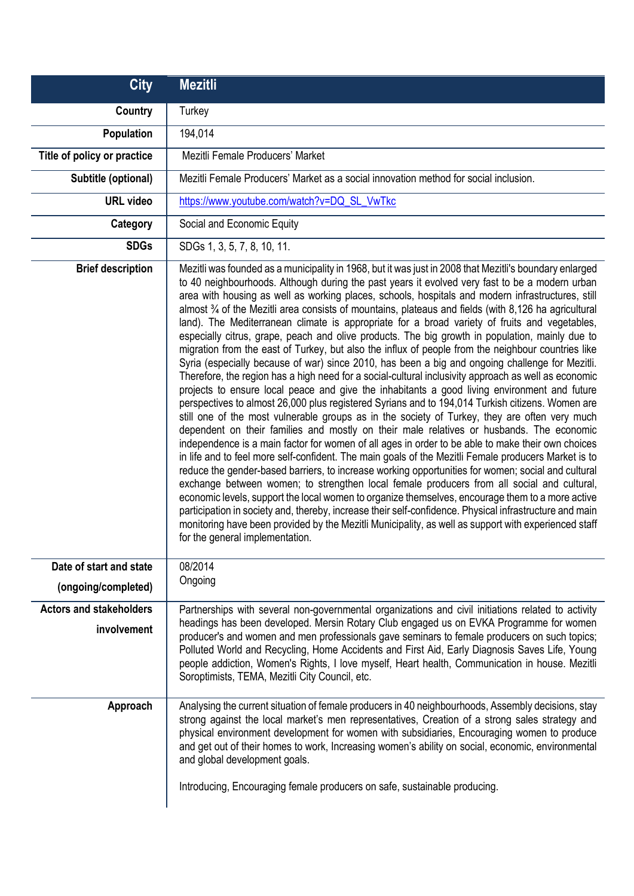| <b>City</b>                                    | <b>Mezitli</b>                                                                                                                                                                                                                                                                                                                                                                                                                                                                                                                                                                                                                                                                                                                                                                                                                                                                                                                                                                                                                                                                                                                                                                                                                                                                                                                                                                                                                                                                                                                                                                                                                                                                                                                                                                                                                                                                                                                                                                                                                                                                                                           |
|------------------------------------------------|--------------------------------------------------------------------------------------------------------------------------------------------------------------------------------------------------------------------------------------------------------------------------------------------------------------------------------------------------------------------------------------------------------------------------------------------------------------------------------------------------------------------------------------------------------------------------------------------------------------------------------------------------------------------------------------------------------------------------------------------------------------------------------------------------------------------------------------------------------------------------------------------------------------------------------------------------------------------------------------------------------------------------------------------------------------------------------------------------------------------------------------------------------------------------------------------------------------------------------------------------------------------------------------------------------------------------------------------------------------------------------------------------------------------------------------------------------------------------------------------------------------------------------------------------------------------------------------------------------------------------------------------------------------------------------------------------------------------------------------------------------------------------------------------------------------------------------------------------------------------------------------------------------------------------------------------------------------------------------------------------------------------------------------------------------------------------------------------------------------------------|
| Country                                        | Turkey                                                                                                                                                                                                                                                                                                                                                                                                                                                                                                                                                                                                                                                                                                                                                                                                                                                                                                                                                                                                                                                                                                                                                                                                                                                                                                                                                                                                                                                                                                                                                                                                                                                                                                                                                                                                                                                                                                                                                                                                                                                                                                                   |
| Population                                     | 194,014                                                                                                                                                                                                                                                                                                                                                                                                                                                                                                                                                                                                                                                                                                                                                                                                                                                                                                                                                                                                                                                                                                                                                                                                                                                                                                                                                                                                                                                                                                                                                                                                                                                                                                                                                                                                                                                                                                                                                                                                                                                                                                                  |
| Title of policy or practice                    | Mezitli Female Producers' Market                                                                                                                                                                                                                                                                                                                                                                                                                                                                                                                                                                                                                                                                                                                                                                                                                                                                                                                                                                                                                                                                                                                                                                                                                                                                                                                                                                                                                                                                                                                                                                                                                                                                                                                                                                                                                                                                                                                                                                                                                                                                                         |
| Subtitle (optional)                            | Mezitli Female Producers' Market as a social innovation method for social inclusion.                                                                                                                                                                                                                                                                                                                                                                                                                                                                                                                                                                                                                                                                                                                                                                                                                                                                                                                                                                                                                                                                                                                                                                                                                                                                                                                                                                                                                                                                                                                                                                                                                                                                                                                                                                                                                                                                                                                                                                                                                                     |
| <b>URL</b> video                               | https://www.youtube.com/watch?v=DQ_SL_VwTkc                                                                                                                                                                                                                                                                                                                                                                                                                                                                                                                                                                                                                                                                                                                                                                                                                                                                                                                                                                                                                                                                                                                                                                                                                                                                                                                                                                                                                                                                                                                                                                                                                                                                                                                                                                                                                                                                                                                                                                                                                                                                              |
| Category                                       | Social and Economic Equity                                                                                                                                                                                                                                                                                                                                                                                                                                                                                                                                                                                                                                                                                                                                                                                                                                                                                                                                                                                                                                                                                                                                                                                                                                                                                                                                                                                                                                                                                                                                                                                                                                                                                                                                                                                                                                                                                                                                                                                                                                                                                               |
| <b>SDGs</b>                                    | SDGs 1, 3, 5, 7, 8, 10, 11.                                                                                                                                                                                                                                                                                                                                                                                                                                                                                                                                                                                                                                                                                                                                                                                                                                                                                                                                                                                                                                                                                                                                                                                                                                                                                                                                                                                                                                                                                                                                                                                                                                                                                                                                                                                                                                                                                                                                                                                                                                                                                              |
| <b>Brief description</b>                       | Mezitli was founded as a municipality in 1968, but it was just in 2008 that Mezitli's boundary enlarged<br>to 40 neighbourhoods. Although during the past years it evolved very fast to be a modern urban<br>area with housing as well as working places, schools, hospitals and modern infrastructures, still<br>almost 3/4 of the Mezitli area consists of mountains, plateaus and fields (with 8,126 ha agricultural<br>land). The Mediterranean climate is appropriate for a broad variety of fruits and vegetables,<br>especially citrus, grape, peach and olive products. The big growth in population, mainly due to<br>migration from the east of Turkey, but also the influx of people from the neighbour countries like<br>Syria (especially because of war) since 2010, has been a big and ongoing challenge for Mezitli.<br>Therefore, the region has a high need for a social-cultural inclusivity approach as well as economic<br>projects to ensure local peace and give the inhabitants a good living environment and future<br>perspectives to almost 26,000 plus registered Syrians and to 194,014 Turkish citizens. Women are<br>still one of the most vulnerable groups as in the society of Turkey, they are often very much<br>dependent on their families and mostly on their male relatives or husbands. The economic<br>independence is a main factor for women of all ages in order to be able to make their own choices<br>in life and to feel more self-confident. The main goals of the Mezitli Female producers Market is to<br>reduce the gender-based barriers, to increase working opportunities for women; social and cultural<br>exchange between women; to strengthen local female producers from all social and cultural,<br>economic levels, support the local women to organize themselves, encourage them to a more active<br>participation in society and, thereby, increase their self-confidence. Physical infrastructure and main<br>monitoring have been provided by the Mezitli Municipality, as well as support with experienced staff<br>for the general implementation. |
| Date of start and state<br>(ongoing/completed) | 08/2014<br>Ongoing                                                                                                                                                                                                                                                                                                                                                                                                                                                                                                                                                                                                                                                                                                                                                                                                                                                                                                                                                                                                                                                                                                                                                                                                                                                                                                                                                                                                                                                                                                                                                                                                                                                                                                                                                                                                                                                                                                                                                                                                                                                                                                       |
| <b>Actors and stakeholders</b><br>involvement  | Partnerships with several non-governmental organizations and civil initiations related to activity<br>headings has been developed. Mersin Rotary Club engaged us on EVKA Programme for women<br>producer's and women and men professionals gave seminars to female producers on such topics;<br>Polluted World and Recycling, Home Accidents and First Aid, Early Diagnosis Saves Life, Young<br>people addiction, Women's Rights, I love myself, Heart health, Communication in house. Mezitli<br>Soroptimists, TEMA, Mezitli City Council, etc.                                                                                                                                                                                                                                                                                                                                                                                                                                                                                                                                                                                                                                                                                                                                                                                                                                                                                                                                                                                                                                                                                                                                                                                                                                                                                                                                                                                                                                                                                                                                                                        |
| Approach                                       | Analysing the current situation of female producers in 40 neighbourhoods, Assembly decisions, stay<br>strong against the local market's men representatives, Creation of a strong sales strategy and<br>physical environment development for women with subsidiaries, Encouraging women to produce<br>and get out of their homes to work, Increasing women's ability on social, economic, environmental<br>and global development goals.<br>Introducing, Encouraging female producers on safe, sustainable producing.                                                                                                                                                                                                                                                                                                                                                                                                                                                                                                                                                                                                                                                                                                                                                                                                                                                                                                                                                                                                                                                                                                                                                                                                                                                                                                                                                                                                                                                                                                                                                                                                    |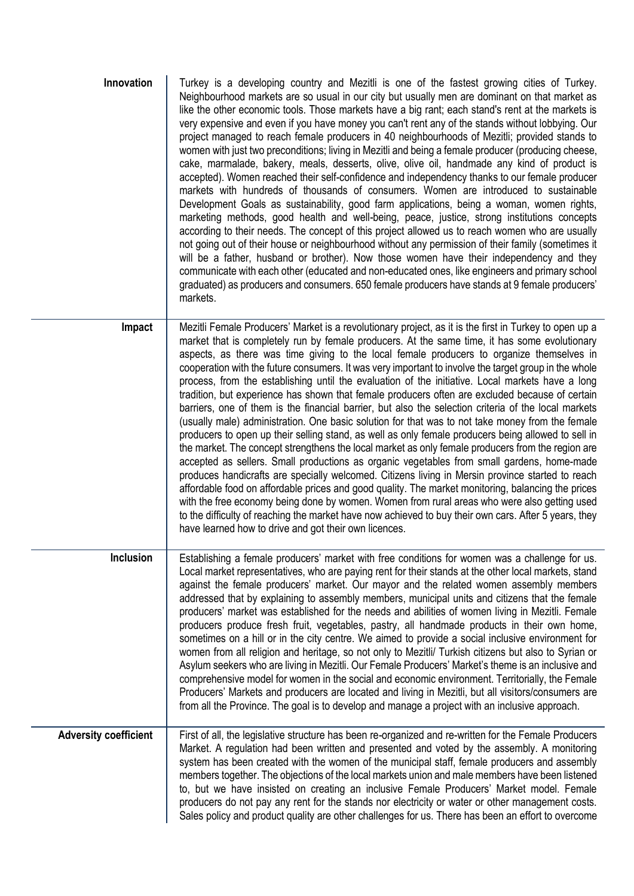| Innovation                   | Turkey is a developing country and Mezitli is one of the fastest growing cities of Turkey.<br>Neighbourhood markets are so usual in our city but usually men are dominant on that market as<br>like the other economic tools. Those markets have a big rant; each stand's rent at the markets is<br>very expensive and even if you have money you can't rent any of the stands without lobbying. Our<br>project managed to reach female producers in 40 neighbourhoods of Mezitli; provided stands to<br>women with just two preconditions; living in Mezitli and being a female producer (producing cheese,<br>cake, marmalade, bakery, meals, desserts, olive, olive oil, handmade any kind of product is<br>accepted). Women reached their self-confidence and independency thanks to our female producer<br>markets with hundreds of thousands of consumers. Women are introduced to sustainable<br>Development Goals as sustainability, good farm applications, being a woman, women rights,<br>marketing methods, good health and well-being, peace, justice, strong institutions concepts<br>according to their needs. The concept of this project allowed us to reach women who are usually<br>not going out of their house or neighbourhood without any permission of their family (sometimes it<br>will be a father, husband or brother). Now those women have their independency and they<br>communicate with each other (educated and non-educated ones, like engineers and primary school<br>graduated) as producers and consumers. 650 female producers have stands at 9 female producers'<br>markets.   |
|------------------------------|------------------------------------------------------------------------------------------------------------------------------------------------------------------------------------------------------------------------------------------------------------------------------------------------------------------------------------------------------------------------------------------------------------------------------------------------------------------------------------------------------------------------------------------------------------------------------------------------------------------------------------------------------------------------------------------------------------------------------------------------------------------------------------------------------------------------------------------------------------------------------------------------------------------------------------------------------------------------------------------------------------------------------------------------------------------------------------------------------------------------------------------------------------------------------------------------------------------------------------------------------------------------------------------------------------------------------------------------------------------------------------------------------------------------------------------------------------------------------------------------------------------------------------------------------------------------------------------------------------------------|
| Impact                       | Mezitli Female Producers' Market is a revolutionary project, as it is the first in Turkey to open up a<br>market that is completely run by female producers. At the same time, it has some evolutionary<br>aspects, as there was time giving to the local female producers to organize themselves in<br>cooperation with the future consumers. It was very important to involve the target group in the whole<br>process, from the establishing until the evaluation of the initiative. Local markets have a long<br>tradition, but experience has shown that female producers often are excluded because of certain<br>barriers, one of them is the financial barrier, but also the selection criteria of the local markets<br>(usually male) administration. One basic solution for that was to not take money from the female<br>producers to open up their selling stand, as well as only female producers being allowed to sell in<br>the market. The concept strengthens the local market as only female producers from the region are<br>accepted as sellers. Small productions as organic vegetables from small gardens, home-made<br>produces handicrafts are specially welcomed. Citizens living in Mersin province started to reach<br>affordable food on affordable prices and good quality. The market monitoring, balancing the prices<br>with the free economy being done by women. Women from rural areas who were also getting used<br>to the difficulty of reaching the market have now achieved to buy their own cars. After 5 years, they<br>have learned how to drive and got their own licences. |
| <b>Inclusion</b>             | Establishing a female producers' market with free conditions for women was a challenge for us.<br>Local market representatives, who are paying rent for their stands at the other local markets, stand<br>against the female producers' market. Our mayor and the related women assembly members<br>addressed that by explaining to assembly members, municipal units and citizens that the female<br>producers' market was established for the needs and abilities of women living in Mezitli. Female<br>producers produce fresh fruit, vegetables, pastry, all handmade products in their own home,<br>sometimes on a hill or in the city centre. We aimed to provide a social inclusive environment for<br>women from all religion and heritage, so not only to Mezitli/ Turkish citizens but also to Syrian or<br>Asylum seekers who are living in Mezitli. Our Female Producers' Market's theme is an inclusive and<br>comprehensive model for women in the social and economic environment. Territorially, the Female<br>Producers' Markets and producers are located and living in Mezitli, but all visitors/consumers are<br>from all the Province. The goal is to develop and manage a project with an inclusive approach.                                                                                                                                                                                                                                                                                                                                                                                    |
| <b>Adversity coefficient</b> | First of all, the legislative structure has been re-organized and re-written for the Female Producers<br>Market. A regulation had been written and presented and voted by the assembly. A monitoring<br>system has been created with the women of the municipal staff, female producers and assembly<br>members together. The objections of the local markets union and male members have been listened<br>to, but we have insisted on creating an inclusive Female Producers' Market model. Female<br>producers do not pay any rent for the stands nor electricity or water or other management costs.<br>Sales policy and product quality are other challenges for us. There has been an effort to overcome                                                                                                                                                                                                                                                                                                                                                                                                                                                                                                                                                                                                                                                                                                                                                                                                                                                                                                          |